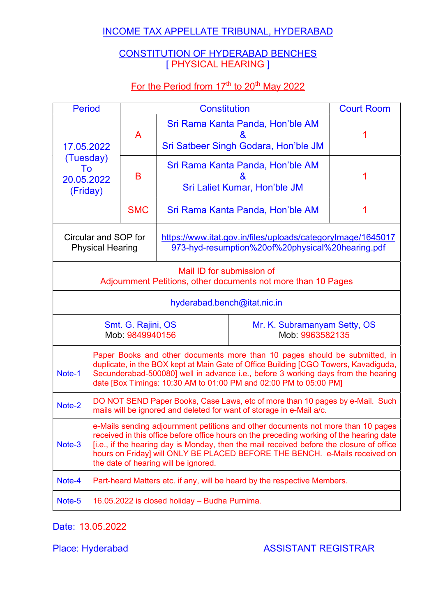# INCOME TAX APPELLATE TRIBUNAL, HYDERABAD

# CONSTITUTION OF HYDERABAD BENCHES [ PHYSICAL HEARING ]

# For the Period from 17<sup>th</sup> to 20<sup>th</sup> May 2022

| <b>Period</b>                                                                                                                                                                                                                                                                                                                                                                                            |                                                                                                                                                                                                                                                                                                                             | <b>Constitution</b> |                                                                                                                 | <b>Court Room</b> |  |
|----------------------------------------------------------------------------------------------------------------------------------------------------------------------------------------------------------------------------------------------------------------------------------------------------------------------------------------------------------------------------------------------------------|-----------------------------------------------------------------------------------------------------------------------------------------------------------------------------------------------------------------------------------------------------------------------------------------------------------------------------|---------------------|-----------------------------------------------------------------------------------------------------------------|-------------------|--|
| 17.05.2022                                                                                                                                                                                                                                                                                                                                                                                               | A                                                                                                                                                                                                                                                                                                                           |                     | Sri Rama Kanta Panda, Hon'ble AM<br><u>&amp;</u><br>Sri Satbeer Singh Godara, Hon'ble JM                        |                   |  |
| (Tuesday)<br>To<br>20.05.2022<br>(Friday)                                                                                                                                                                                                                                                                                                                                                                | B                                                                                                                                                                                                                                                                                                                           |                     | Sri Rama Kanta Panda, Hon'ble AM<br>X,<br>Sri Laliet Kumar, Hon'ble JM                                          |                   |  |
|                                                                                                                                                                                                                                                                                                                                                                                                          | <b>SMC</b>                                                                                                                                                                                                                                                                                                                  |                     | Sri Rama Kanta Panda, Hon'ble AM                                                                                |                   |  |
| Circular and SOP for<br><b>Physical Hearing</b>                                                                                                                                                                                                                                                                                                                                                          |                                                                                                                                                                                                                                                                                                                             |                     | https://www.itat.gov.in/files/uploads/categoryImage/1645017<br>973-hyd-resumption%20of%20physical%20hearing.pdf |                   |  |
|                                                                                                                                                                                                                                                                                                                                                                                                          | Mail ID for submission of<br>Adjournment Petitions, other documents not more than 10 Pages                                                                                                                                                                                                                                  |                     |                                                                                                                 |                   |  |
|                                                                                                                                                                                                                                                                                                                                                                                                          | hyderabad.bench@itat.nic.in                                                                                                                                                                                                                                                                                                 |                     |                                                                                                                 |                   |  |
|                                                                                                                                                                                                                                                                                                                                                                                                          | Smt. G. Rajini, OS<br>Mr. K. Subramanyam Setty, OS<br>Mob: 9849940156<br>Mob: 9963582135                                                                                                                                                                                                                                    |                     |                                                                                                                 |                   |  |
| Note-1                                                                                                                                                                                                                                                                                                                                                                                                   | Paper Books and other documents more than 10 pages should be submitted, in<br>duplicate, in the BOX kept at Main Gate of Office Building [CGO Towers, Kavadiguda,<br>Secunderabad-500080] well in advance i.e., before 3 working days from the hearing<br>date [Box Timings: 10:30 AM to 01:00 PM and 02:00 PM to 05:00 PM] |                     |                                                                                                                 |                   |  |
| Note-2                                                                                                                                                                                                                                                                                                                                                                                                   | DO NOT SEND Paper Books, Case Laws, etc of more than 10 pages by e-Mail. Such<br>mails will be ignored and deleted for want of storage in e-Mail a/c.                                                                                                                                                                       |                     |                                                                                                                 |                   |  |
| e-Mails sending adjournment petitions and other documents not more than 10 pages<br>received in this office before office hours on the preceding working of the hearing date<br>[i.e., if the hearing day is Monday, then the mail received before the closure of office<br>Note-3<br>hours on Friday] will ONLY BE PLACED BEFORE THE BENCH. e-Mails received on<br>the date of hearing will be ignored. |                                                                                                                                                                                                                                                                                                                             |                     |                                                                                                                 |                   |  |
| Note-4                                                                                                                                                                                                                                                                                                                                                                                                   | Part-heard Matters etc. if any, will be heard by the respective Members.                                                                                                                                                                                                                                                    |                     |                                                                                                                 |                   |  |
| Note-5                                                                                                                                                                                                                                                                                                                                                                                                   | 16.05.2022 is closed holiday - Budha Purnima.                                                                                                                                                                                                                                                                               |                     |                                                                                                                 |                   |  |

Date: 13.05.2022

Place: Hyderabad ASSISTANT REGISTRAR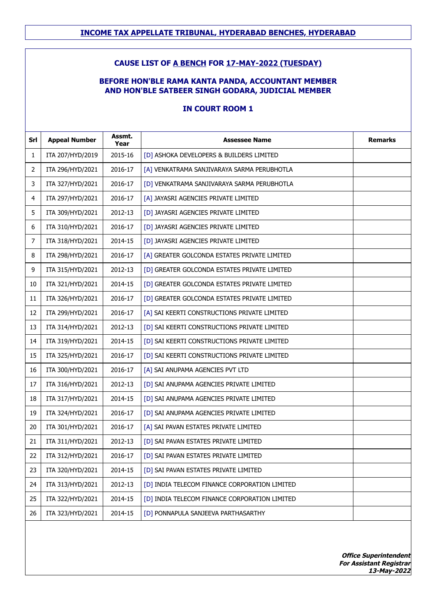## **CAUSE LIST OF A BENCH FOR 17-MAY-2022 (TUESDAY)**

#### **BEFORE HON'BLE RAMA KANTA PANDA, ACCOUNTANT MEMBER AND HON'BLE SATBEER SINGH GODARA, JUDICIAL MEMBER**

#### **IN COURT ROOM 1**

| Srl            | <b>Appeal Number</b> | Assmt.<br>Year | <b>Assessee Name</b>                          | <b>Remarks</b> |
|----------------|----------------------|----------------|-----------------------------------------------|----------------|
| $\mathbf{1}$   | ITA 207/HYD/2019     | 2015-16        | [D] ASHOKA DEVELOPERS & BUILDERS LIMITED      |                |
| $\overline{2}$ | ITA 296/HYD/2021     | 2016-17        | [A] VENKATRAMA SANJIVARAYA SARMA PERUBHOTLA   |                |
| 3              | ITA 327/HYD/2021     | 2016-17        | [D] VENKATRAMA SANJIVARAYA SARMA PERUBHOTLA   |                |
| 4              | ITA 297/HYD/2021     | 2016-17        | [A] JAYASRI AGENCIES PRIVATE LIMITED          |                |
| 5              | ITA 309/HYD/2021     | 2012-13        | [D] JAYASRI AGENCIES PRIVATE LIMITED          |                |
| 6              | ITA 310/HYD/2021     | 2016-17        | [D] JAYASRI AGENCIES PRIVATE LIMITED          |                |
| 7              | ITA 318/HYD/2021     | 2014-15        | [D] JAYASRI AGENCIES PRIVATE LIMITED          |                |
| 8              | ITA 298/HYD/2021     | 2016-17        | [A] GREATER GOLCONDA ESTATES PRIVATE LIMITED  |                |
| 9              | ITA 315/HYD/2021     | 2012-13        | [D] GREATER GOLCONDA ESTATES PRIVATE LIMITED  |                |
| 10             | ITA 321/HYD/2021     | 2014-15        | [D] GREATER GOLCONDA ESTATES PRIVATE LIMITED  |                |
| 11             | ITA 326/HYD/2021     | 2016-17        | [D] GREATER GOLCONDA ESTATES PRIVATE LIMITED  |                |
| 12             | ITA 299/HYD/2021     | 2016-17        | [A] SAI KEERTI CONSTRUCTIONS PRIVATE LIMITED  |                |
| 13             | ITA 314/HYD/2021     | 2012-13        | [D] SAI KEERTI CONSTRUCTIONS PRIVATE LIMITED  |                |
| 14             | ITA 319/HYD/2021     | 2014-15        | [D] SAI KEERTI CONSTRUCTIONS PRIVATE LIMITED  |                |
| 15             | ITA 325/HYD/2021     | 2016-17        | [D] SAI KEERTI CONSTRUCTIONS PRIVATE LIMITED  |                |
| 16             | ITA 300/HYD/2021     | 2016-17        | [A] SAI ANUPAMA AGENCIES PVT LTD              |                |
| 17             | ITA 316/HYD/2021     | 2012-13        | [D] SAI ANUPAMA AGENCIES PRIVATE LIMITED      |                |
| 18             | ITA 317/HYD/2021     | 2014-15        | [D] SAI ANUPAMA AGENCIES PRIVATE LIMITED      |                |
| 19             | ITA 324/HYD/2021     | 2016-17        | [D] SAI ANUPAMA AGENCIES PRIVATE LIMITED      |                |
| 20             | ITA 301/HYD/2021     | 2016-17        | [A] SAI PAVAN ESTATES PRIVATE LIMITED         |                |
| 21             | ITA 311/HYD/2021     | 2012-13        | [D] SAI PAVAN ESTATES PRIVATE LIMITED         |                |
| 22             | ITA 312/HYD/2021     | 2016-17        | [D] SAI PAVAN ESTATES PRIVATE LIMITED         |                |
| 23             | ITA 320/HYD/2021     | 2014-15        | [D] SAI PAVAN ESTATES PRIVATE LIMITED         |                |
| 24             | ITA 313/HYD/2021     | 2012-13        | [D] INDIA TELECOM FINANCE CORPORATION LIMITED |                |
| 25             | ITA 322/HYD/2021     | 2014-15        | [D] INDIA TELECOM FINANCE CORPORATION LIMITED |                |
| 26             | ITA 323/HYD/2021     | 2014-15        | [D] PONNAPULA SANJEEVA PARTHASARTHY           |                |

**Office Superintendent For Assistant Registrar 13-May-2022**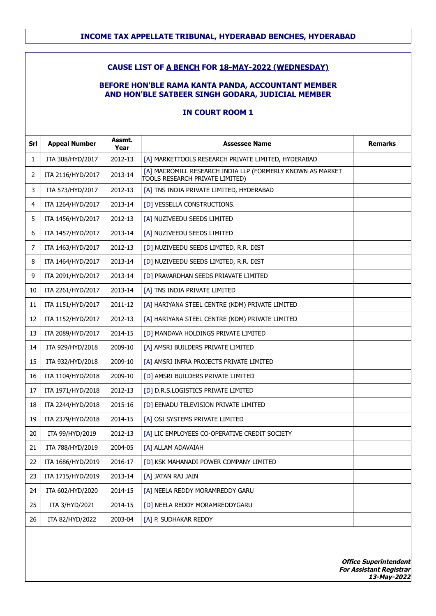## **CAUSE LIST OF A BENCH FOR 18-MAY-2022 (WEDNESDAY)**

## **BEFORE HON'BLE RAMA KANTA PANDA, ACCOUNTANT MEMBER AND HON'BLE SATBEER SINGH GODARA, JUDICIAL MEMBER**

## **IN COURT ROOM 1**

| Srl | <b>Appeal Number</b> | Assmt.<br>Year | <b>Assessee Name</b>                                                                          | <b>Remarks</b> |
|-----|----------------------|----------------|-----------------------------------------------------------------------------------------------|----------------|
| 1   | ITA 308/HYD/2017     | 2012-13        | [A] MARKETTOOLS RESEARCH PRIVATE LIMITED, HYDERABAD                                           |                |
| 2   | ITA 2116/HYD/2017    | 2013-14        | [A] MACROMILL RESEARCH INDIA LLP (FORMERLY KNOWN AS MARKET<br>TOOLS RESEARCH PRIVATE LIMITED) |                |
| 3   | ITA 573/HYD/2017     | 2012-13        | [A] TNS INDIA PRIVATE LIMITED, HYDERABAD                                                      |                |
| 4   | ITA 1264/HYD/2017    | 2013-14        | [D] VESSELLA CONSTRUCTIONS.                                                                   |                |
| 5   | ITA 1456/HYD/2017    | 2012-13        | [A] NUZIVEEDU SEEDS LIMITED                                                                   |                |
| 6   | ITA 1457/HYD/2017    | 2013-14        | [A] NUZIVEEDU SEEDS LIMITED                                                                   |                |
| 7   | ITA 1463/HYD/2017    | 2012-13        | [D] NUZIVEEDU SEEDS LIMITED, R.R. DIST                                                        |                |
| 8   | ITA 1464/HYD/2017    | 2013-14        | [D] NUZIVEEDU SEEDS LIMITED, R.R. DIST                                                        |                |
| 9   | ITA 2091/HYD/2017    | 2013-14        | [D] PRAVARDHAN SEEDS PRIAVATE LIMITED                                                         |                |
| 10  | ITA 2261/HYD/2017    | 2013-14        | [A] TNS INDIA PRIVATE LIMITED                                                                 |                |
| 11  | ITA 1151/HYD/2017    | 2011-12        | [A] HARIYANA STEEL CENTRE (KDM) PRIVATE LIMITED                                               |                |
| 12  | ITA 1152/HYD/2017    | 2012-13        | [A] HARIYANA STEEL CENTRE (KDM) PRIVATE LIMITED                                               |                |
| 13  | ITA 2089/HYD/2017    | 2014-15        | [D] MANDAVA HOLDINGS PRIVATE LIMITED                                                          |                |
| 14  | ITA 929/HYD/2018     | 2009-10        | [A] AMSRI BUILDERS PRIVATE LIMITED                                                            |                |
| 15  | ITA 932/HYD/2018     | 2009-10        | [A] AMSRI INFRA PROJECTS PRIVATE LIMITED                                                      |                |
| 16  | ITA 1104/HYD/2018    | 2009-10        | [D] AMSRI BUILDERS PRIVATE LIMITED                                                            |                |
| 17  | ITA 1971/HYD/2018    | 2012-13        | [D] D.R.S.LOGISTICS PRIVATE LIMITED                                                           |                |
| 18  | ITA 2244/HYD/2018    | 2015-16        | [D] EENADU TELEVISION PRIVATE LIMITED                                                         |                |
| 19  | ITA 2379/HYD/2018    | 2014-15        | [A] OSI SYSTEMS PRIVATE LIMITED                                                               |                |
| 20  | ITA 99/HYD/2019      | 2012-13        | [A] LIC EMPLOYEES CO-OPERATIVE CREDIT SOCIETY                                                 |                |
| 21  | ITA 788/HYD/2019     | 2004-05        | [A] ALLAM ADAVAIAH                                                                            |                |
| 22  | ITA 1686/HYD/2019    | 2016-17        | [D] KSK MAHANADI POWER COMPANY LIMITED                                                        |                |
| 23  | ITA 1715/HYD/2019    | 2013-14        | [A] JATAN RAJ JAIN                                                                            |                |
| 24  | ITA 602/HYD/2020     | 2014-15        | [A] NEELA REDDY MORAMREDDY GARU                                                               |                |
| 25  | ITA 3/HYD/2021       | 2014-15        | [D] NEELA REDDY MORAMREDDYGARU                                                                |                |
| 26  | ITA 82/HYD/2022      | 2003-04        | [A] P. SUDHAKAR REDDY                                                                         |                |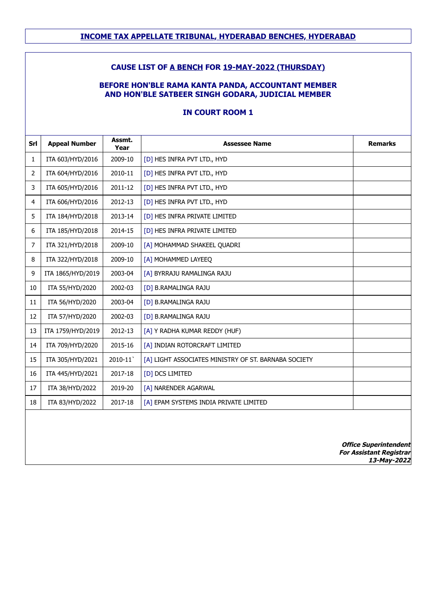## **CAUSE LIST OF A BENCH FOR 19-MAY-2022 (THURSDAY)**

## **BEFORE HON'BLE RAMA KANTA PANDA, ACCOUNTANT MEMBER AND HON'BLE SATBEER SINGH GODARA, JUDICIAL MEMBER**

## **IN COURT ROOM 1**

| Srl            | <b>Appeal Number</b> | Assmt.<br>Year | <b>Assessee Name</b>                                 | <b>Remarks</b> |
|----------------|----------------------|----------------|------------------------------------------------------|----------------|
| $\mathbf{1}$   | ITA 603/HYD/2016     | 2009-10        | [D] HES INFRA PVT LTD., HYD                          |                |
| $\overline{2}$ | ITA 604/HYD/2016     | 2010-11        | [D] HES INFRA PVT LTD., HYD                          |                |
| 3              | ITA 605/HYD/2016     | 2011-12        | [D] HES INFRA PVT LTD., HYD                          |                |
| 4              | ITA 606/HYD/2016     | 2012-13        | [D] HES INFRA PVT LTD., HYD                          |                |
| 5              | ITA 184/HYD/2018     | 2013-14        | [D] HES INFRA PRIVATE LIMITED                        |                |
| 6              | ITA 185/HYD/2018     | 2014-15        | [D] HES INFRA PRIVATE LIMITED                        |                |
| $\overline{7}$ | ITA 321/HYD/2018     | 2009-10        | [A] MOHAMMAD SHAKEEL QUADRI                          |                |
| 8              | ITA 322/HYD/2018     | 2009-10        | [A] MOHAMMED LAYEEQ                                  |                |
| 9              | ITA 1865/HYD/2019    | 2003-04        | [A] BYRRAJU RAMALINGA RAJU                           |                |
| 10             | ITA 55/HYD/2020      | 2002-03        | [D] B.RAMALINGA RAJU                                 |                |
| 11             | ITA 56/HYD/2020      | 2003-04        | [D] B.RAMALINGA RAJU                                 |                |
| 12             | ITA 57/HYD/2020      | 2002-03        | [D] B.RAMALINGA RAJU                                 |                |
| 13             | ITA 1759/HYD/2019    | 2012-13        | [A] Y RADHA KUMAR REDDY (HUF)                        |                |
| 14             | ITA 709/HYD/2020     | 2015-16        | [A] INDIAN ROTORCRAFT LIMITED                        |                |
| 15             | ITA 305/HYD/2021     | 2010-11        | [A] LIGHT ASSOCIATES MINISTRY OF ST. BARNABA SOCIETY |                |
| 16             | ITA 445/HYD/2021     | 2017-18        | [D] DCS LIMITED                                      |                |
| 17             | ITA 38/HYD/2022      | 2019-20        | [A] NARENDER AGARWAL                                 |                |
| 18             | ITA 83/HYD/2022      | 2017-18        | [A] EPAM SYSTEMS INDIA PRIVATE LIMITED               |                |
|                |                      |                |                                                      |                |

**Office Superintendent For Assistant Registrar 13-May-2022**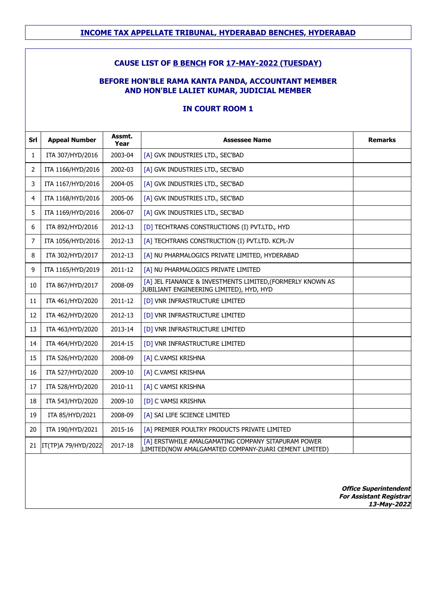## **CAUSE LIST OF B BENCH FOR 17-MAY-2022 (TUESDAY)**

## **BEFORE HON'BLE RAMA KANTA PANDA, ACCOUNTANT MEMBER AND HON'BLE LALIET KUMAR, JUDICIAL MEMBER**

## **IN COURT ROOM 1**

| Srl          | <b>Appeal Number</b> | Assmt.<br>Year | <b>Assessee Name</b>                                                                                        | <b>Remarks</b>               |
|--------------|----------------------|----------------|-------------------------------------------------------------------------------------------------------------|------------------------------|
| $\mathbf{1}$ | ITA 307/HYD/2016     | 2003-04        | [A] GVK INDUSTRIES LTD., SEC'BAD                                                                            |                              |
| 2            | ITA 1166/HYD/2016    | 2002-03        | [A] GVK INDUSTRIES LTD., SEC'BAD                                                                            |                              |
| 3            | ITA 1167/HYD/2016    | 2004-05        | [A] GVK INDUSTRIES LTD., SEC'BAD                                                                            |                              |
| 4            | ITA 1168/HYD/2016    | 2005-06        | [A] GVK INDUSTRIES LTD., SEC'BAD                                                                            |                              |
| 5            | ITA 1169/HYD/2016    | 2006-07        | [A] GVK INDUSTRIES LTD., SEC'BAD                                                                            |                              |
| 6            | ITA 892/HYD/2016     | 2012-13        | [D] TECHTRANS CONSTRUCTIONS (I) PVT.LTD., HYD                                                               |                              |
| 7            | ITA 1056/HYD/2016    | 2012-13        | [A] TECHTRANS CONSTRUCTION (I) PVT.LTD. KCPL-JV                                                             |                              |
| 8            | ITA 302/HYD/2017     | 2012-13        | [A] NU PHARMALOGICS PRIVATE LIMITED, HYDERABAD                                                              |                              |
| 9            | ITA 1165/HYD/2019    | 2011-12        | [A] NU PHARMALOGICS PRIVATE LIMITED                                                                         |                              |
| 10           | ITA 867/HYD/2017     | 2008-09        | [A] JEL FIANANCE & INVESTMENTS LIMITED, (FORMERLY KNOWN AS<br>JUBILIANT ENGINEERING LIMITED), HYD, HYD      |                              |
| 11           | ITA 461/HYD/2020     | 2011-12        | [D] VNR INFRASTRUCTURE LIMITED                                                                              |                              |
| 12           | ITA 462/HYD/2020     | 2012-13        | [D] VNR INFRASTRUCTURE LIMITED                                                                              |                              |
| 13           | ITA 463/HYD/2020     | 2013-14        | [D] VNR INFRASTRUCTURE LIMITED                                                                              |                              |
| 14           | ITA 464/HYD/2020     | 2014-15        | [D] VNR INFRASTRUCTURE LIMITED                                                                              |                              |
| 15           | ITA 526/HYD/2020     | 2008-09        | [A] C.VAMSI KRISHNA                                                                                         |                              |
| 16           | ITA 527/HYD/2020     | 2009-10        | [A] C.VAMSI KRISHNA                                                                                         |                              |
| 17           | ITA 528/HYD/2020     | 2010-11        | [A] C VAMSI KRISHNA                                                                                         |                              |
| 18           | ITA 543/HYD/2020     | 2009-10        | [D] C VAMSI KRISHNA                                                                                         |                              |
| 19           | ITA 85/HYD/2021      | 2008-09        | [A] SAI LIFE SCIENCE LIMITED                                                                                |                              |
| 20           | ITA 190/HYD/2021     | 2015-16        | [A] PREMIER POULTRY PRODUCTS PRIVATE LIMITED                                                                |                              |
| 21           | IT(TP)A 79/HYD/2022  | 2017-18        | [A] ERSTWHILE AMALGAMATING COMPANY SITAPURAM POWER<br>LIMITED(NOW AMALGAMATED COMPANY-ZUARI CEMENT LIMITED) |                              |
|              |                      |                |                                                                                                             | <b>Office Superintendent</b> |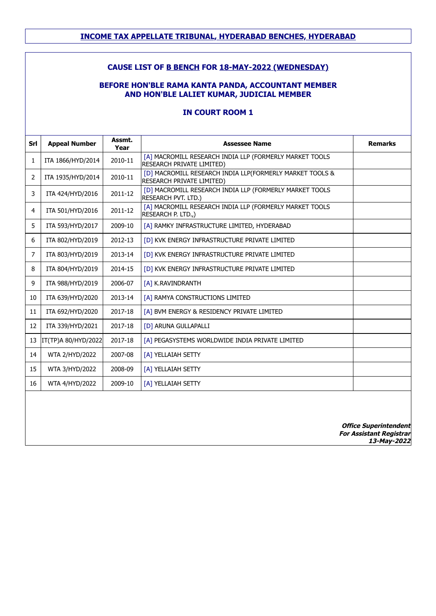## **INCOME TAX APPELLATE TRIBUNAL, HYDERABAD BENCHES, HYDERABAD**

## **CAUSE LIST OF B BENCH FOR 18-MAY-2022 (WEDNESDAY)**

## **BEFORE HON'BLE RAMA KANTA PANDA, ACCOUNTANT MEMBER AND HON'BLE LALIET KUMAR, JUDICIAL MEMBER**

### **IN COURT ROOM 1**

| Srl            | <b>Appeal Number</b> | Assmt.<br>Year | <b>Assessee Name</b>                                                                  | <b>Remarks</b>                                                 |
|----------------|----------------------|----------------|---------------------------------------------------------------------------------------|----------------------------------------------------------------|
| $\mathbf{1}$   | ITA 1866/HYD/2014    | 2010-11        | [A] MACROMILL RESEARCH INDIA LLP (FORMERLY MARKET TOOLS<br>RESEARCH PRIVATE LIMITED)  |                                                                |
| $\overline{2}$ | ITA 1935/HYD/2014    | 2010-11        | [D] MACROMILL RESEARCH INDIA LLP(FORMERLY MARKET TOOLS &<br>RESEARCH PRIVATE LIMITED) |                                                                |
| 3              | ITA 424/HYD/2016     | 2011-12        | [D] MACROMILL RESEARCH INDIA LLP (FORMERLY MARKET TOOLS<br><b>RESEARCH PVT. LTD.)</b> |                                                                |
| $\overline{4}$ | ITA 501/HYD/2016     | 2011-12        | [A] MACROMILL RESEARCH INDIA LLP (FORMERLY MARKET TOOLS<br>RESEARCH P. LTD.,)         |                                                                |
| 5              | ITA 593/HYD/2017     | 2009-10        | [A] RAMKY INFRASTRUCTURE LIMITED, HYDERABAD                                           |                                                                |
| 6              | ITA 802/HYD/2019     | 2012-13        | [D] KVK ENERGY INFRASTRUCTURE PRIVATE LIMITED                                         |                                                                |
| $\overline{7}$ | ITA 803/HYD/2019     | 2013-14        | [D] KVK ENERGY INFRASTRUCTURE PRIVATE LIMITED                                         |                                                                |
| 8              | ITA 804/HYD/2019     | 2014-15        | [D] KVK ENERGY INFRASTRUCTURE PRIVATE LIMITED                                         |                                                                |
| 9              | ITA 988/HYD/2019     | 2006-07        | [A] K.RAVINDRANTH                                                                     |                                                                |
| 10             | ITA 639/HYD/2020     | 2013-14        | [A] RAMYA CONSTRUCTIONS LIMITED                                                       |                                                                |
| 11             | ITA 692/HYD/2020     | 2017-18        | [A] BVM ENERGY & RESIDENCY PRIVATE LIMITED                                            |                                                                |
| 12             | ITA 339/HYD/2021     | 2017-18        | [D] ARUNA GULLAPALLI                                                                  |                                                                |
| 13             | IT(TP)A 80/HYD/2022  | 2017-18        | [A] PEGASYSTEMS WORLDWIDE INDIA PRIVATE LIMITED                                       |                                                                |
| 14             | WTA 2/HYD/2022       | 2007-08        | [A] YELLAIAH SETTY                                                                    |                                                                |
| 15             | WTA 3/HYD/2022       | 2008-09        | [A] YELLAIAH SETTY                                                                    |                                                                |
| 16             | WTA 4/HYD/2022       | 2009-10        | [A] YELLAIAH SETTY                                                                    |                                                                |
|                |                      |                |                                                                                       |                                                                |
|                |                      |                |                                                                                       | <b>Office Superintendent</b><br><b>For Assistant Registrar</b> |

**13-May-2022**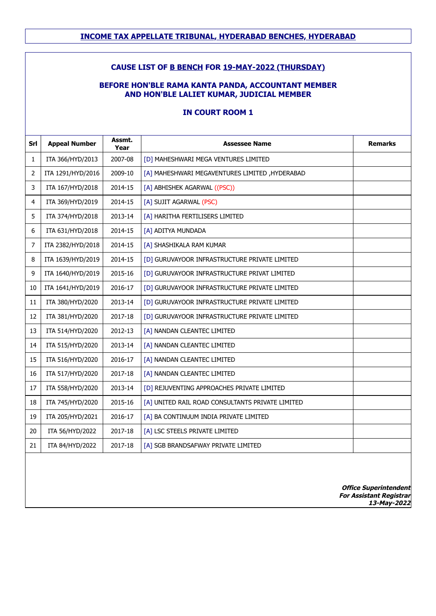## **INCOME TAX APPELLATE TRIBUNAL, HYDERABAD BENCHES, HYDERABAD**

## **CAUSE LIST OF B BENCH FOR 19-MAY-2022 (THURSDAY)**

## **BEFORE HON'BLE RAMA KANTA PANDA, ACCOUNTANT MEMBER AND HON'BLE LALIET KUMAR, JUDICIAL MEMBER**

## **IN COURT ROOM 1**

| Srl            | <b>Appeal Number</b> | Assmt.<br>Year | <b>Assessee Name</b>                             | <b>Remarks</b>                                                                |
|----------------|----------------------|----------------|--------------------------------------------------|-------------------------------------------------------------------------------|
| $\mathbf{1}$   | ITA 366/HYD/2013     | 2007-08        | [D] MAHESHWARI MEGA VENTURES LIMITED             |                                                                               |
| $\overline{2}$ | ITA 1291/HYD/2016    | 2009-10        | [A] MAHESHWARI MEGAVENTURES LIMITED, HYDERABAD   |                                                                               |
| 3              | ITA 167/HYD/2018     | 2014-15        | [A] ABHISHEK AGARWAL ((PSC))                     |                                                                               |
| 4              | ITA 369/HYD/2019     | 2014-15        | [A] SUJIT AGARWAL (PSC)                          |                                                                               |
| 5              | ITA 374/HYD/2018     | 2013-14        | [A] HARITHA FERTILISERS LIMITED                  |                                                                               |
| 6              | ITA 631/HYD/2018     | 2014-15        | [A] ADITYA MUNDADA                               |                                                                               |
| 7              | ITA 2382/HYD/2018    | 2014-15        | [A] SHASHIKALA RAM KUMAR                         |                                                                               |
| 8              | ITA 1639/HYD/2019    | 2014-15        | [D] GURUVAYOOR INFRASTRUCTURE PRIVATE LIMITED    |                                                                               |
| 9              | ITA 1640/HYD/2019    | 2015-16        | [D] GURUVAYOOR INFRASTRUCTURE PRIVAT LIMITED     |                                                                               |
| 10             | ITA 1641/HYD/2019    | 2016-17        | [D] GURUVAYOOR INFRASTRUCTURE PRIVATE LIMITED    |                                                                               |
| 11             | ITA 380/HYD/2020     | 2013-14        | [D] GURUVAYOOR INFRASTRUCTURE PRIVATE LIMITED    |                                                                               |
| 12             | ITA 381/HYD/2020     | 2017-18        | [D] GURUVAYOOR INFRASTRUCTURE PRIVATE LIMITED    |                                                                               |
| 13             | ITA 514/HYD/2020     | 2012-13        | [A] NANDAN CLEANTEC LIMITED                      |                                                                               |
| 14             | ITA 515/HYD/2020     | 2013-14        | [A] NANDAN CLEANTEC LIMITED                      |                                                                               |
| 15             | ITA 516/HYD/2020     | 2016-17        | [A] NANDAN CLEANTEC LIMITED                      |                                                                               |
| 16             | ITA 517/HYD/2020     | 2017-18        | [A] NANDAN CLEANTEC LIMITED                      |                                                                               |
| 17             | ITA 558/HYD/2020     | 2013-14        | [D] REJUVENTING APPROACHES PRIVATE LIMITED       |                                                                               |
| 18             | ITA 745/HYD/2020     | 2015-16        | [A] UNITED RAIL ROAD CONSULTANTS PRIVATE LIMITED |                                                                               |
| 19             | ITA 205/HYD/2021     | 2016-17        | [A] BA CONTINUUM INDIA PRIVATE LIMITED           |                                                                               |
| 20             | ITA 56/HYD/2022      | 2017-18        | [A] LSC STEELS PRIVATE LIMITED                   |                                                                               |
| 21             | ITA 84/HYD/2022      | 2017-18        | [A] SGB BRANDSAFWAY PRIVATE LIMITED              |                                                                               |
|                |                      |                |                                                  |                                                                               |
|                |                      |                |                                                  | <b>Office Superintendent</b><br><b>For Assistant Registrar</b><br>13-May-2022 |